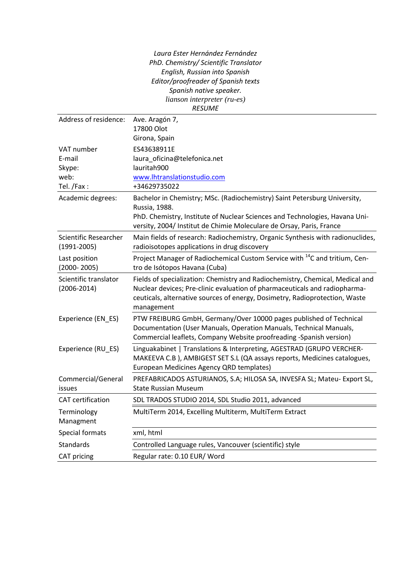*Laura Ester Hernández Fernández PhD. Chemistry/ Scientific Translator English, Russian into Spanish Editor/proofreader of Spanish texts Spanish native speaker. lianson interpreter (ru-es) RESUME*

| Address of residence:                                | Ave. Aragón 7,<br>17800 Olot<br>Girona, Spain                                                                                                                                                                                                            |
|------------------------------------------------------|----------------------------------------------------------------------------------------------------------------------------------------------------------------------------------------------------------------------------------------------------------|
| VAT number<br>E-mail<br>Skype:<br>web:<br>Tel. /Fax: | ES43638911E<br>laura_oficina@telefonica.net<br>lauritah900<br>www.lhtranslationstudio.com<br>+34629735022                                                                                                                                                |
| Academic degrees:                                    | Bachelor in Chemistry; MSc. (Radiochemistry) Saint Petersburg University,<br>Russia, 1988.<br>PhD. Chemistry, Institute of Nuclear Sciences and Technologies, Havana Uni-<br>versity, 2004/ Institut de Chimie Moleculare de Orsay, Paris, France        |
| Scientific Researcher<br>$(1991 - 2005)$             | Main fields of research: Radiochemistry, Organic Synthesis with radionuclides,<br>radioisotopes applications in drug discovery                                                                                                                           |
| Last position<br>$(2000 - 2005)$                     | Project Manager of Radiochemical Custom Service with <sup>14</sup> C and tritium, Cen-<br>tro de Isótopos Havana (Cuba)                                                                                                                                  |
| Scientific translator<br>$(2006 - 2014)$             | Fields of specialization: Chemistry and Radiochemistry, Chemical, Medical and<br>Nuclear devices; Pre-clinic evaluation of pharmaceuticals and radiopharma-<br>ceuticals, alternative sources of energy, Dosimetry, Radioprotection, Waste<br>management |
| Experience (EN_ES)                                   | PTW FREIBURG GmbH, Germany/Over 10000 pages published of Technical<br>Documentation (User Manuals, Operation Manuals, Technical Manuals,<br>Commercial leaflets, Company Website proofreading -Spanish version)                                          |
| Experience (RU_ES)                                   | Linguakabinet   Translations & Interpreting, AGESTRAD (GRUPO VERCHER-<br>MAKEEVA C.B ), AMBIGEST SET S.L (QA assays reports, Medicines catalogues,<br>European Medicines Agency QRD templates)                                                           |
| Commercial/General<br>issues                         | PREFABRICADOS ASTURIANOS, S.A; HILOSA SA, INVESFA SL; Mateu- Export SL,<br><b>State Russian Museum</b>                                                                                                                                                   |
| <b>CAT</b> certification                             | SDL TRADOS STUDIO 2014, SDL Studio 2011, advanced                                                                                                                                                                                                        |
| Terminology<br>Managment                             | MultiTerm 2014, Excelling Multiterm, MultiTerm Extract                                                                                                                                                                                                   |
| Special formats                                      | xml, html                                                                                                                                                                                                                                                |
| <b>Standards</b>                                     | Controlled Language rules, Vancouver (scientific) style                                                                                                                                                                                                  |
| CAT pricing                                          | Regular rate: 0.10 EUR/ Word                                                                                                                                                                                                                             |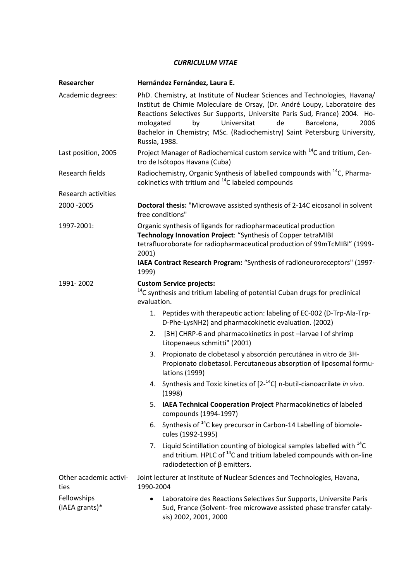## *CURRICULUM VITAE*

| Researcher                     | Hernández Fernández, Laura E.                                                                                                                                                                                                                                                                                                                                                                                                                                                                                                                                                                                                                                                                                                                                                                                                                                                                                                                     |
|--------------------------------|---------------------------------------------------------------------------------------------------------------------------------------------------------------------------------------------------------------------------------------------------------------------------------------------------------------------------------------------------------------------------------------------------------------------------------------------------------------------------------------------------------------------------------------------------------------------------------------------------------------------------------------------------------------------------------------------------------------------------------------------------------------------------------------------------------------------------------------------------------------------------------------------------------------------------------------------------|
| Academic degrees:              | PhD. Chemistry, at Institute of Nuclear Sciences and Technologies, Havana/<br>Institut de Chimie Moleculare de Orsay, (Dr. André Loupy, Laboratoire des<br>Reactions Selectives Sur Supports, Universite Paris Sud, France) 2004. Ho-<br>Universitat<br>de<br>mologated<br>by<br>Barcelona,<br>2006<br>Bachelor in Chemistry; MSc. (Radiochemistry) Saint Petersburg University,<br>Russia, 1988.                                                                                                                                                                                                                                                                                                                                                                                                                                                                                                                                                 |
| Last position, 2005            | Project Manager of Radiochemical custom service with <sup>14</sup> C and tritium, Cen-<br>tro de Isótopos Havana (Cuba)                                                                                                                                                                                                                                                                                                                                                                                                                                                                                                                                                                                                                                                                                                                                                                                                                           |
| Research fields                | Radiochemistry, Organic Synthesis of labelled compounds with <sup>14</sup> C, Pharma-<br>cokinetics with tritium and <sup>14</sup> C labeled compounds                                                                                                                                                                                                                                                                                                                                                                                                                                                                                                                                                                                                                                                                                                                                                                                            |
| <b>Research activities</b>     |                                                                                                                                                                                                                                                                                                                                                                                                                                                                                                                                                                                                                                                                                                                                                                                                                                                                                                                                                   |
| 2000 - 2005                    | Doctoral thesis: "Microwave assisted synthesis of 2-14C eicosanol in solvent<br>free conditions"                                                                                                                                                                                                                                                                                                                                                                                                                                                                                                                                                                                                                                                                                                                                                                                                                                                  |
| 1997-2001:                     | Organic synthesis of ligands for radiopharmaceutical production<br>Technology Innovation Project: "Synthesis of Copper tetraMIBI<br>tetrafluoroborate for radiopharmaceutical production of 99mTcMIBI" (1999-<br>2001)<br>IAEA Contract Research Program: "Synthesis of radioneuroreceptors" (1997-<br>1999)                                                                                                                                                                                                                                                                                                                                                                                                                                                                                                                                                                                                                                      |
| 1991-2002                      | <b>Custom Service projects:</b><br><sup>14</sup> C synthesis and tritium labeling of potential Cuban drugs for preclinical<br>evaluation.<br>1. Peptides with therapeutic action: labeling of EC-002 (D-Trp-Ala-Trp-<br>D-Phe-LysNH2) and pharmacokinetic evaluation. (2002)<br>[3H] CHRP-6 and pharmacokinetics in post -larvae I of shrimp<br>2.<br>Litopenaeus schmitti" (2001)<br>Propionato de clobetasol y absorción percutánea in vitro de 3H-<br>3.<br>Propionato clobetasol. Percutaneous absorption of liposomal formu-<br>lations (1999)<br>4. Synthesis and Toxic kinetics of $[2^{-14}C]$ n-butil-cianoacrilate in vivo.<br>(1998)<br>IAEA Technical Cooperation Project Pharmacokinetics of labeled<br>5.<br>compounds (1994-1997)<br>Synthesis of <sup>14</sup> C key precursor in Carbon-14 Labelling of biomole-<br>6.<br>cules (1992-1995)<br>Liquid Scintillation counting of biological samples labelled with $^{14}$ C<br>7. |
|                                | and tritium. HPLC of <sup>14</sup> C and tritium labeled compounds with on-line<br>radiodetection of $\beta$ emitters.                                                                                                                                                                                                                                                                                                                                                                                                                                                                                                                                                                                                                                                                                                                                                                                                                            |
| Other academic activi-<br>ties | Joint lecturer at Institute of Nuclear Sciences and Technologies, Havana,<br>1990-2004                                                                                                                                                                                                                                                                                                                                                                                                                                                                                                                                                                                                                                                                                                                                                                                                                                                            |
| Fellowships<br>(IAEA grants)*  | Laboratoire des Reactions Selectives Sur Supports, Universite Paris<br>$\bullet$<br>Sud, France (Solvent- free microwave assisted phase transfer cataly-<br>sis) 2002, 2001, 2000                                                                                                                                                                                                                                                                                                                                                                                                                                                                                                                                                                                                                                                                                                                                                                 |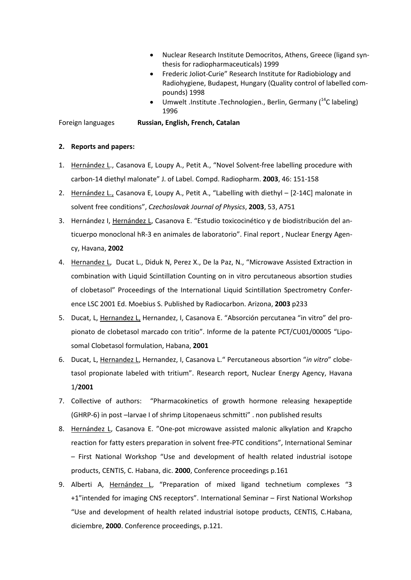- Nuclear Research Institute Democritos, Athens, Greece (ligand synthesis for radiopharmaceuticals) 1999
- Frederic Joliot-Curie" Research Institute for Radiobiology and Radiohygiene, Budapest, Hungary (Quality control of labelled compounds) 1998
- Umwelt .Institute .Technologien., Berlin, Germany ( $14$ C labeling) 1996

Foreign languages **Russian, English, French, Catalan** 

## **2. Reports and papers:**

- 1. Hernández L., Casanova E, Loupy A., Petit A., "Novel Solvent-free labelling procedure with carbon-14 diethyl malonate" J. of Label. Compd. Radiopharm. **2003**, 46: 151-158
- 2. Hernández L., Casanova E, Loupy A., Petit A., "Labelling with diethyl [2-14C] malonate in solvent free conditions", *Czechoslovak Journal of Physics*, **2003**, 53, A751
- 3. Hernández I, Hernández L, Casanova E. "Estudio toxicocinético y de biodistribución del anticuerpo monoclonal hR-3 en animales de laboratorio". Final report , Nuclear Energy Agency, Havana, **2002**
- 4. Hernandez L, Ducat L., Diduk N, Perez X., De la Paz, N., "Microwave Assisted Extraction in combination with Liquid Scintillation Counting on in vitro percutaneous absortion studies of clobetasol" Proceedings of the International Liquid Scintillation Spectrometry Conference LSC 2001 Ed. Moebius S. Published by Radiocarbon. Arizona, **2003** p233
- 5. Ducat, L, Hernandez L, Hernandez, I, Casanova E. "Absorción percutanea "in vitro" del propionato de clobetasol marcado con tritio". Informe de la patente PCT/CU01/00005 "Liposomal Clobetasol formulation, Habana, **2001**
- 6. Ducat, L, Hernandez L, Hernandez, I, Casanova L." Percutaneous absortion "*in vitro*" clobetasol propionate labeled with tritium". Research report, Nuclear Energy Agency, Havana 1/**2001**
- 7. Collective of authors: "Pharmacokinetics of growth hormone releasing hexapeptide (GHRP-6) in post –larvae I of shrimp Litopenaeus schmitti" . non published results
- 8. Hernández L, Casanova E. "One-pot microwave assisted malonic alkylation and Krapcho reaction for fatty esters preparation in solvent free-PTC conditions", International Seminar – First National Workshop "Use and development of health related industrial isotope products, CENTIS, C. Habana, dic. **2000**, Conference proceedings p.161
- 9. Alberti A, Hernández L, "Preparation of mixed ligand technetium complexes "3 +1"intended for imaging CNS receptors". International Seminar – First National Workshop "Use and development of health related industrial isotope products, CENTIS, C.Habana, diciembre, **2000**. Conference proceedings, p.121.